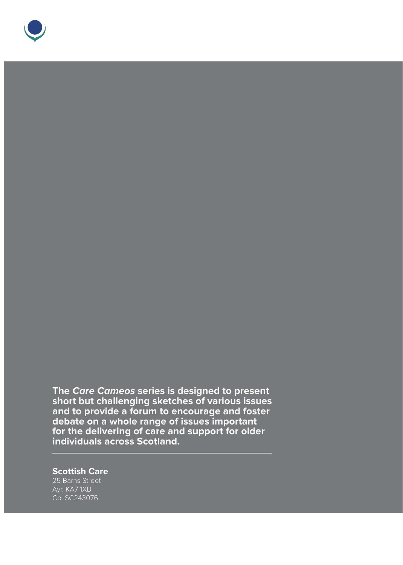

**The Care Cameos series is designed to present short but challenging sketches of various issues and to provide a forum to encourage and foster debate on a whole range of issues important for the delivering of care and support for older individuals across Scotland.** 

#### **Scottish Care**

Ayr, KA7 1XB Co. SC243076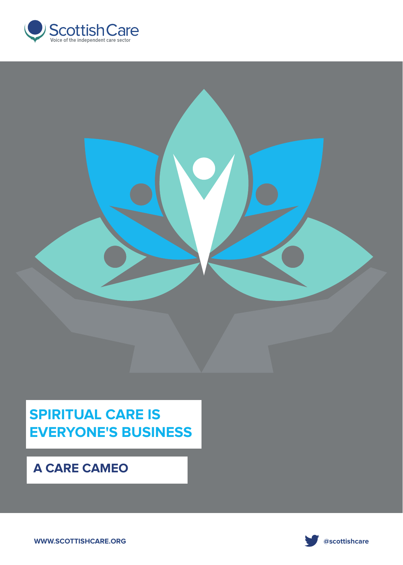



# **SPIRITUAL CARE IS EVERYONE'S BUSINESS**

## **A CARE CAMEO**

**WWW.SCOTTISHCARE.ORG WWW.SCOTTISHCARE.ORG** 

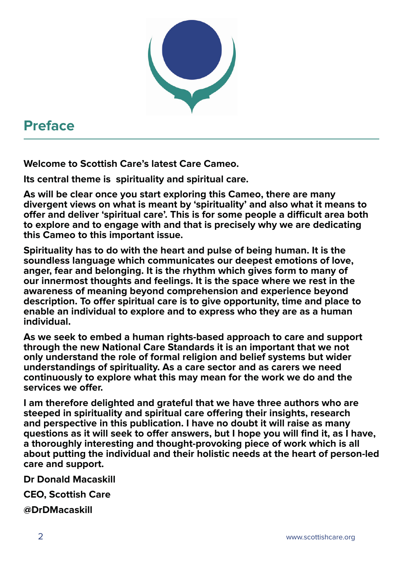

# **Preface**

**Welcome to Scottish Care's latest Care Cameo.**

**Its central theme is spirituality and spiritual care.** 

**As will be clear once you start exploring this Cameo, there are many divergent views on what is meant by 'spirituality' and also what it means to offer and deliver 'spiritual care'. This is for some people a difficult area both to explore and to engage with and that is precisely why we are dedicating this Cameo to this important issue.**

**Spirituality has to do with the heart and pulse of being human. It is the soundless language which communicates our deepest emotions of love, anger, fear and belonging. It is the rhythm which gives form to many of our innermost thoughts and feelings. It is the space where we rest in the awareness of meaning beyond comprehension and experience beyond description. To offer spiritual care is to give opportunity, time and place to enable an individual to explore and to express who they are as a human individual.**

**As we seek to embed a human rights-based approach to care and support through the new National Care Standards it is an important that we not only understand the role of formal religion and belief systems but wider understandings of spirituality. As a care sector and as carers we need continuously to explore what this may mean for the work we do and the services we offer.**

**I am therefore delighted and grateful that we have three authors who are steeped in spirituality and spiritual care offering their insights, research and perspective in this publication. I have no doubt it will raise as many questions as it will seek to offer answers, but I hope you will find it, as I have, a thoroughly interesting and thought-provoking piece of work which is all about putting the individual and their holistic needs at the heart of person-led care and support.**

**Dr Donald Macaskill**

**CEO, Scottish Care** 

**@DrDMacaskill**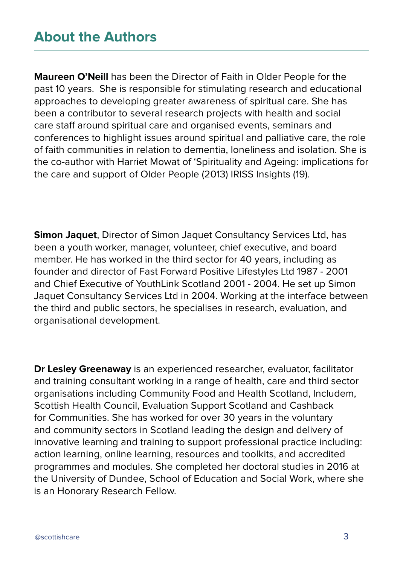## **About the Authors**

**Maureen O'Neill** has been the Director of Faith in Older People for the past 10 years. She is responsible for stimulating research and educational approaches to developing greater awareness of spiritual care. She has been a contributor to several research projects with health and social care staff around spiritual care and organised events, seminars and conferences to highlight issues around spiritual and palliative care, the role of faith communities in relation to dementia, loneliness and isolation. She is the co-author with Harriet Mowat of 'Spirituality and Ageing: implications for the care and support of Older People (2013) IRISS Insights (19).

**Simon Jaquet**, Director of Simon Jaquet Consultancy Services Ltd, has been a youth worker, manager, volunteer, chief executive, and board member. He has worked in the third sector for 40 years, including as founder and director of Fast Forward Positive Lifestyles Ltd 1987 - 2001 and Chief Executive of YouthLink Scotland 2001 - 2004. He set up Simon Jaquet Consultancy Services Ltd in 2004. Working at the interface between the third and public sectors, he specialises in research, evaluation, and organisational development.

**Dr Lesley Greenaway** is an experienced researcher, evaluator, facilitator and training consultant working in a range of health, care and third sector organisations including Community Food and Health Scotland, Includem, Scottish Health Council, Evaluation Support Scotland and Cashback for Communities. She has worked for over 30 years in the voluntary and community sectors in Scotland leading the design and delivery of innovative learning and training to support professional practice including: action learning, online learning, resources and toolkits, and accredited programmes and modules. She completed her doctoral studies in 2016 at the University of Dundee, School of Education and Social Work, where she is an Honorary Research Fellow.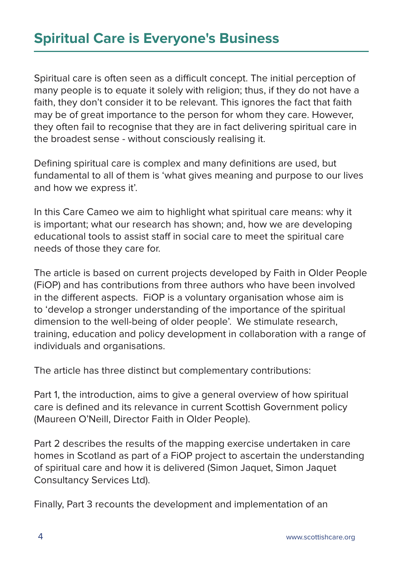Spiritual care is often seen as a difficult concept. The initial perception of many people is to equate it solely with religion; thus, if they do not have a faith, they don't consider it to be relevant. This ignores the fact that faith may be of great importance to the person for whom they care. However, they often fail to recognise that they are in fact delivering spiritual care in the broadest sense - without consciously realising it.

Defining spiritual care is complex and many definitions are used, but fundamental to all of them is 'what gives meaning and purpose to our lives and how we express it'.

In this Care Cameo we aim to highlight what spiritual care means: why it is important; what our research has shown; and, how we are developing educational tools to assist staff in social care to meet the spiritual care needs of those they care for.

The article is based on current projects developed by Faith in Older People (FiOP) and has contributions from three authors who have been involved in the different aspects. FiOP is a voluntary organisation whose aim is to 'develop a stronger understanding of the importance of the spiritual dimension to the well-being of older people'. We stimulate research, training, education and policy development in collaboration with a range of individuals and organisations.

The article has three distinct but complementary contributions:

Part 1, the introduction, aims to give a general overview of how spiritual care is defined and its relevance in current Scottish Government policy (Maureen O'Neill, Director Faith in Older People).

Part 2 describes the results of the mapping exercise undertaken in care homes in Scotland as part of a FiOP project to ascertain the understanding of spiritual care and how it is delivered (Simon Jaquet, Simon Jaquet Consultancy Services Ltd).

Finally, Part 3 recounts the development and implementation of an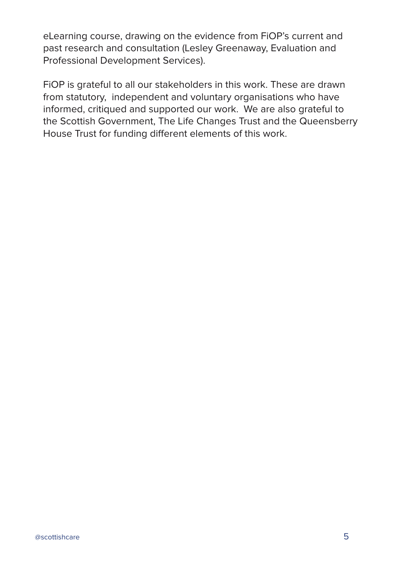eLearning course, drawing on the evidence from FiOP's current and past research and consultation (Lesley Greenaway, Evaluation and Professional Development Services).

FiOP is grateful to all our stakeholders in this work. These are drawn from statutory, independent and voluntary organisations who have informed, critiqued and supported our work. We are also grateful to the Scottish Government, The Life Changes Trust and the Queensberry House Trust for funding different elements of this work.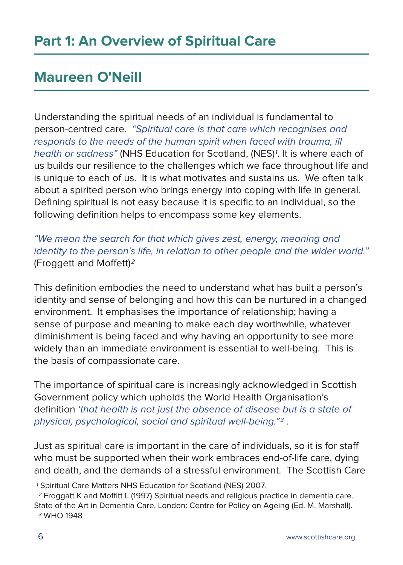# **Maureen O'Neill**

Understanding the spiritual needs of an individual is fundamental to person-centred care. "Spiritual care is that care which recognises and responds to the needs of the human spirit when faced with trauma, ill health or sadness" (NHS Education for Scotland, (NES)<sup>1</sup>. It is where each of us builds our resilience to the challenges which we face throughout life and is unique to each of us. It is what motivates and sustains us. We often talk about a spirited person who brings energy into coping with life in general. Defining spiritual is not easy because it is specific to an individual, so the following definition helps to encompass some key elements.

"We mean the search for that which gives zest, energy, meaning and identity to the person's life, in relation to other people and the wider world." (Froggett and Moffett)2

This definition embodies the need to understand what has built a person's identity and sense of belonging and how this can be nurtured in a changed environment. It emphasises the importance of relationship; having a sense of purpose and meaning to make each day worthwhile, whatever diminishment is being faced and why having an opportunity to see more widely than an immediate environment is essential to well-being. This is the basis of compassionate care.

The importance of spiritual care is increasingly acknowledged in Scottish Government policy which upholds the World Health Organisation's definition 'that health is not just the absence of disease but is a state of physical, psychological, social and spiritual well-being."3 .

Just as spiritual care is important in the care of individuals, so it is for staff who must be supported when their work embraces end-of-life care, dying and death, and the demands of a stressful environment. The Scottish Care

1 Spiritual Care Matters NHS Education for Scotland (NES) 2007.

 2 Froggatt K and Moffitt L (1997) Spiritual needs and religious practice in dementia care. State of the Art in Dementia Care, London: Centre for Policy on Ageing (Ed. M. Marshall). 3 WHO 1948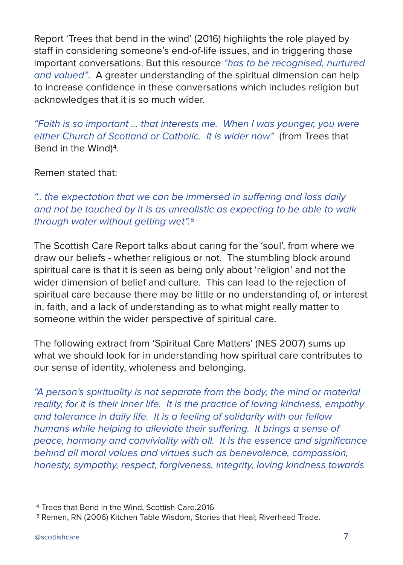Report 'Trees that bend in the wind' (2016) highlights the role played by staff in considering someone's end-of-life issues, and in triggering those important conversations. But this resource "has to be recognised, nurtured and valued". A greater understanding of the spiritual dimension can help to increase confidence in these conversations which includes religion but acknowledges that it is so much wider.

"Faith is so important … that interests me. When I was younger, you were either Church of Scotland or Catholic. It is wider now" (from Trees that Bend in the Wind)4.

Remen stated that:

".. the expectation that we can be immersed in suffering and loss daily and not be touched by it is as unrealistic as expecting to be able to walk through water without getting wet".<sup>5</sup>

The Scottish Care Report talks about caring for the 'soul', from where we draw our beliefs - whether religious or not. The stumbling block around spiritual care is that it is seen as being only about 'religion' and not the wider dimension of belief and culture. This can lead to the rejection of spiritual care because there may be little or no understanding of, or interest in, faith, and a lack of understanding as to what might really matter to someone within the wider perspective of spiritual care.

The following extract from 'Spiritual Care Matters' (NES 2007) sums up what we should look for in understanding how spiritual care contributes to our sense of identity, wholeness and belonging.

"A person's spirituality is not separate from the body, the mind or material reality, for it is their inner life. It is the practice of loving kindness, empathy and tolerance in daily life. It is a feeling of solidarity with our fellow humans while helping to alleviate their suffering. It brings a sense of peace, harmony and conviviality with all. It is the essence and significance behind all moral values and virtues such as benevolence, compassion, honesty, sympathy, respect, forgiveness, integrity, loving kindness towards

<sup>4</sup> Trees that Bend in the Wind, Scottish Care.2016

<sup>5</sup> Remen, RN (2006) Kitchen Table Wisdom, Stories that Heal; Riverhead Trade.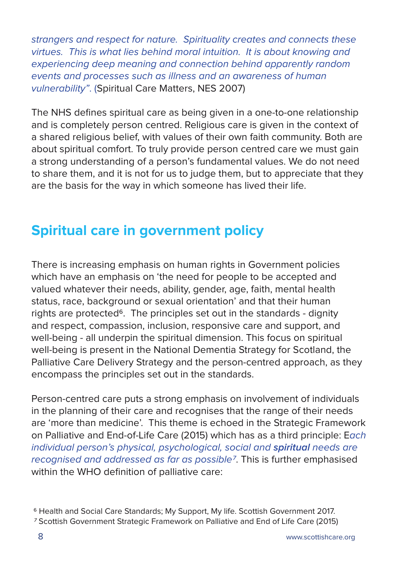strangers and respect for nature. Spirituality creates and connects these virtues. This is what lies behind moral intuition. It is about knowing and experiencing deep meaning and connection behind apparently random events and processes such as illness and an awareness of human vulnerability". (Spiritual Care Matters, NES 2007)

The NHS defines spiritual care as being given in a one-to-one relationship and is completely person centred. Religious care is given in the context of a shared religious belief, with values of their own faith community. Both are about spiritual comfort. To truly provide person centred care we must gain a strong understanding of a person's fundamental values. We do not need to share them, and it is not for us to judge them, but to appreciate that they are the basis for the way in which someone has lived their life.

# **Spiritual care in government policy**

There is increasing emphasis on human rights in Government policies which have an emphasis on 'the need for people to be accepted and valued whatever their needs, ability, gender, age, faith, mental health status, race, background or sexual orientation' and that their human rights are protected<sup>6</sup>. The principles set out in the standards - dignity and respect, compassion, inclusion, responsive care and support, and well-being - all underpin the spiritual dimension. This focus on spiritual well-being is present in the National Dementia Strategy for Scotland, the Palliative Care Delivery Strategy and the person-centred approach, as they encompass the principles set out in the standards.

Person-centred care puts a strong emphasis on involvement of individuals in the planning of their care and recognises that the range of their needs are 'more than medicine'. This theme is echoed in the Strategic Framework on Palliative and End-of-Life Care (2015) which has as a third principle: Each individual person's physical, psychological, social and **spiritual** needs are recognised and addressed as far as possible7. This is further emphasised within the WHO definition of palliative care:

<sup>6</sup> Health and Social Care Standards; My Support, My life. Scottish Government 2017.

<sup>7</sup> Scottish Government Strategic Framework on Palliative and End of Life Care (2015)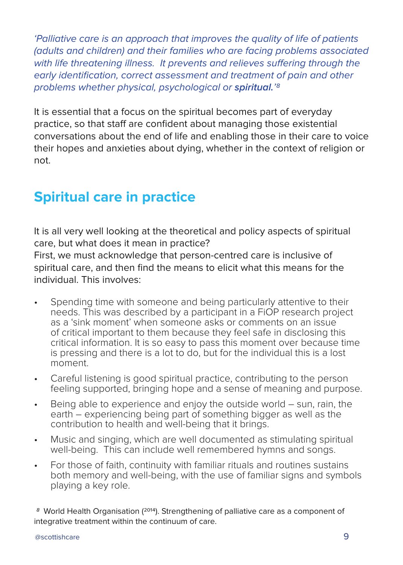'Palliative care is an approach that improves the quality of life of patients (adults and children) and their families who are facing problems associated with life threatening illness. It prevents and relieves suffering through the early identification, correct assessment and treatment of pain and other problems whether physical, psychological or **spiritual.**'8

It is essential that a focus on the spiritual becomes part of everyday practice, so that staff are confident about managing those existential conversations about the end of life and enabling those in their care to voice their hopes and anxieties about dying, whether in the context of religion or not.

# **Spiritual care in practice**

It is all very well looking at the theoretical and policy aspects of spiritual care, but what does it mean in practice?

First, we must acknowledge that person-centred care is inclusive of spiritual care, and then find the means to elicit what this means for the individual. This involves:

- Spending time with someone and being particularly attentive to their needs. This was described by a participant in a FiOP research project as a 'sink moment' when someone asks or comments on an issue of critical important to them because they feel safe in disclosing this critical information. It is so easy to pass this moment over because time is pressing and there is a lot to do, but for the individual this is a lost moment.
- Careful listening is good spiritual practice, contributing to the person feeling supported, bringing hope and a sense of meaning and purpose.
- Being able to experience and enjoy the outside world sun, rain, the earth – experiencing being part of something bigger as well as the contribution to health and well-being that it brings.
- Music and singing, which are well documented as stimulating spiritual well-being. This can include well remembered hymns and songs.
- For those of faith, continuity with familiar rituals and routines sustains both memory and well-being, with the use of familiar signs and symbols playing a key role.

8 World Health Organisation (2014). Strengthening of palliative care as a component of integrative treatment within the continuum of care.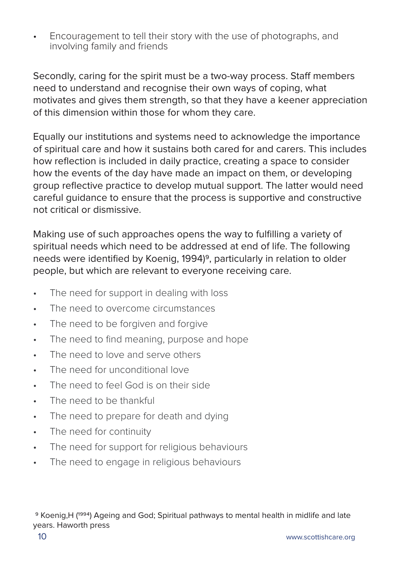• Encouragement to tell their story with the use of photographs, and involving family and friends

Secondly, caring for the spirit must be a two-way process. Staff members need to understand and recognise their own ways of coping, what motivates and gives them strength, so that they have a keener appreciation of this dimension within those for whom they care.

Equally our institutions and systems need to acknowledge the importance of spiritual care and how it sustains both cared for and carers. This includes how reflection is included in daily practice, creating a space to consider how the events of the day have made an impact on them, or developing group reflective practice to develop mutual support. The latter would need careful guidance to ensure that the process is supportive and constructive not critical or dismissive.

Making use of such approaches opens the way to fulfilling a variety of spiritual needs which need to be addressed at end of life. The following needs were identified by Koenig, 1994)<sup>9</sup>, particularly in relation to older people, but which are relevant to everyone receiving care.

- The need for support in dealing with loss
- The need to overcome circumstances
- The need to be forgiven and forgive
- The need to find meaning, purpose and hope
- The need to love and serve others
- The need for unconditional love
- The need to feel God is on their side
- The need to be thankful.
- The need to prepare for death and dying
- The need for continuity
- The need for support for religious behaviours
- The need to engage in religious behaviours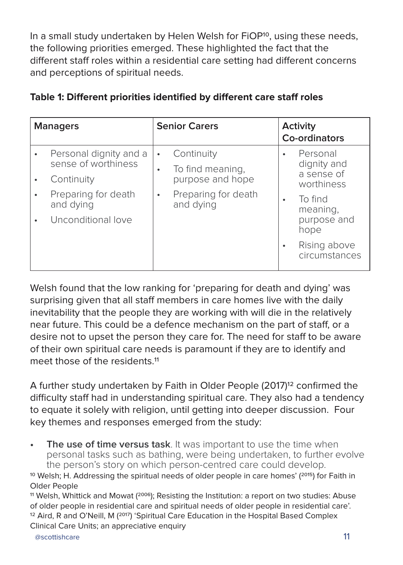In a small study undertaken by Helen Welsh for FiOP<sup>10</sup>, using these needs, the following priorities emerged. These highlighted the fact that the different staff roles within a residential care setting had different concerns and perceptions of spiritual needs.

| <b>Managers</b> |                                                                                                                       | <b>Senior Carers</b> |                                                                                        | Activity<br>Co-ordinators |                                                                                                                                    |
|-----------------|-----------------------------------------------------------------------------------------------------------------------|----------------------|----------------------------------------------------------------------------------------|---------------------------|------------------------------------------------------------------------------------------------------------------------------------|
| $\bullet$<br>٠  | Personal dignity and a<br>sense of worthiness<br>Continuity<br>Preparing for death<br>and dying<br>Unconditional love | $\bullet$<br>٠<br>٠  | Continuity<br>To find meaning,<br>purpose and hope<br>Preparing for death<br>and dying | ٠<br>٠                    | Personal<br>dignity and<br>a sense of<br>worthiness<br>To find<br>meaning,<br>purpose and<br>hope<br>Rising above<br>circumstances |

### **Table 1: Different priorities identified by different care staff roles**

Welsh found that the low ranking for 'preparing for death and dying' was surprising given that all staff members in care homes live with the daily inevitability that the people they are working with will die in the relatively near future. This could be a defence mechanism on the part of staff, or a desire not to upset the person they care for. The need for staff to be aware of their own spiritual care needs is paramount if they are to identify and meet those of the residents.<sup>11</sup>

A further study undertaken by Faith in Older People (2017)12 confirmed the difficulty staff had in understanding spiritual care. They also had a tendency to equate it solely with religion, until getting into deeper discussion. Four key themes and responses emerged from the study:

**The use of time versus task**. It was important to use the time when personal tasks such as bathing, were being undertaken, to further evolve the person's story on which person-centred care could develop.

<sup>10</sup> Welsh; H. Addressing the spiritual needs of older people in care homes'  $(2015)$  for Faith in Older People

<sup>11</sup> Welsh, Whittick and Mowat  $(2006)$ ; Resisting the Institution: a report on two studies: Abuse of older people in residential care and spiritual needs of older people in residential care'. <sup>12</sup> Aird, R and O'Neill, M (<sup>2017</sup>) 'Spiritual Care Education in the Hospital Based Complex Clinical Care Units; an appreciative enquiry

exportishcare. The set of the set of the set of the set of the set of the set of the set of the set of the set of the set of the set of the set of the set of the set of the set of the set of the set of the set of the set o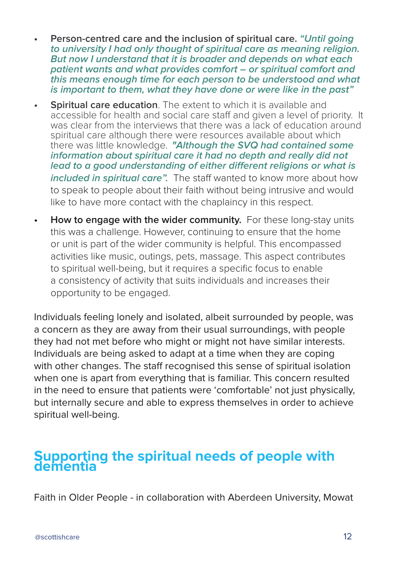- **• Person-centred care and the inclusion of spiritual care. "Until going to university I had only thought of spiritual care as meaning religion. But now I understand that it is broader and depends on what each patient wants and what provides comfort – or spiritual comfort and this means enough time for each person to be understood and what is important to them, what they have done or were like in the past"**
- **Spiritual care education.** The extent to which it is available and accessible for health and social care staff and given a level of priority. It was clear from the interviews that there was a lack of education around spiritual care although there were resources available about which there was little knowledge. **"Although the SVQ had contained some information about spiritual care it had no depth and really did not lead to a good understanding of either different religions or what is included in spiritual care".** The staff wanted to know more about how to speak to people about their faith without being intrusive and would like to have more contact with the chaplaincy in this respect.
- **• How to engage with the wider community.** For these long-stay units this was a challenge. However, continuing to ensure that the home or unit is part of the wider community is helpful. This encompassed activities like music, outings, pets, massage. This aspect contributes to spiritual well-being, but it requires a specific focus to enable a consistency of activity that suits individuals and increases their opportunity to be engaged.

Individuals feeling lonely and isolated, albeit surrounded by people, was a concern as they are away from their usual surroundings, with people they had not met before who might or might not have similar interests. Individuals are being asked to adapt at a time when they are coping with other changes. The staff recognised this sense of spiritual isolation when one is apart from everything that is familiar. This concern resulted in the need to ensure that patients were 'comfortable' not just physically, but internally secure and able to express themselves in order to achieve spiritual well-being.

## **Supporting the spiritual needs of people with dementia**

Faith in Older People - in collaboration with Aberdeen University, Mowat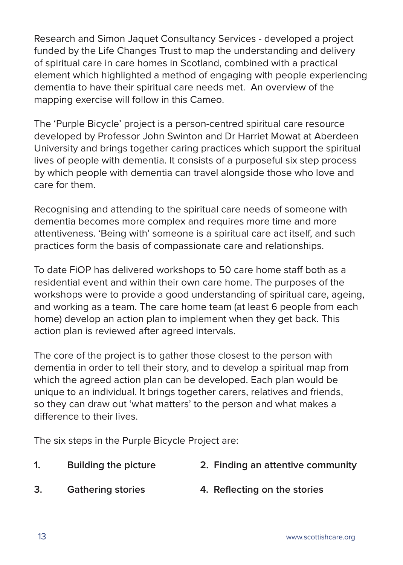Research and Simon Jaquet Consultancy Services - developed a project funded by the Life Changes Trust to map the understanding and delivery of spiritual care in care homes in Scotland, combined with a practical element which highlighted a method of engaging with people experiencing dementia to have their spiritual care needs met. An overview of the mapping exercise will follow in this Cameo.

The 'Purple Bicycle' project is a person-centred spiritual care resource developed by Professor John Swinton and Dr Harriet Mowat at Aberdeen University and brings together caring practices which support the spiritual lives of people with dementia. It consists of a purposeful six step process by which people with dementia can travel alongside those who love and care for them.

Recognising and attending to the spiritual care needs of someone with dementia becomes more complex and requires more time and more attentiveness. 'Being with' someone is a spiritual care act itself, and such practices form the basis of compassionate care and relationships.

To date FiOP has delivered workshops to 50 care home staff both as a residential event and within their own care home. The purposes of the workshops were to provide a good understanding of spiritual care, ageing, and working as a team. The care home team (at least 6 people from each home) develop an action plan to implement when they get back. This action plan is reviewed after agreed intervals.

The core of the project is to gather those closest to the person with dementia in order to tell their story, and to develop a spiritual map from which the agreed action plan can be developed. Each plan would be unique to an individual. It brings together carers, relatives and friends, so they can draw out 'what matters' to the person and what makes a difference to their lives.

The six steps in the Purple Bicycle Project are:

- **1. Building the picture 2. Finding an attentive community**
- **3. Gathering stories 4. Reflecting on the stories**
-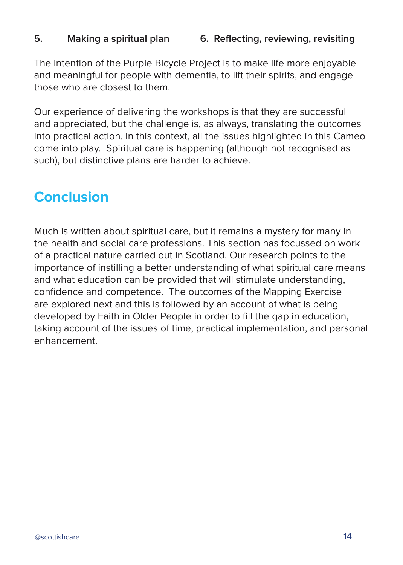### **5. Making a spiritual plan 6. Reflecting, reviewing, revisiting**

The intention of the Purple Bicycle Project is to make life more enjoyable and meaningful for people with dementia, to lift their spirits, and engage those who are closest to them.

Our experience of delivering the workshops is that they are successful and appreciated, but the challenge is, as always, translating the outcomes into practical action. In this context, all the issues highlighted in this Cameo come into play. Spiritual care is happening (although not recognised as such), but distinctive plans are harder to achieve.

## **Conclusion**

Much is written about spiritual care, but it remains a mystery for many in the health and social care professions. This section has focussed on work of a practical nature carried out in Scotland. Our research points to the importance of instilling a better understanding of what spiritual care means and what education can be provided that will stimulate understanding, confidence and competence. The outcomes of the Mapping Exercise are explored next and this is followed by an account of what is being developed by Faith in Older People in order to fill the gap in education, taking account of the issues of time, practical implementation, and personal enhancement.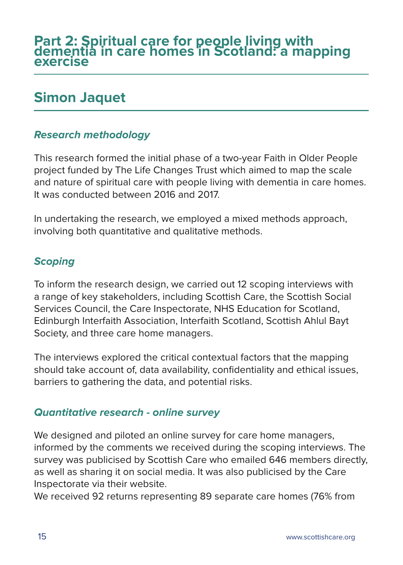## **Simon Jaquet**

## **Research methodology**

This research formed the initial phase of a two-year Faith in Older People project funded by The Life Changes Trust which aimed to map the scale and nature of spiritual care with people living with dementia in care homes. It was conducted between 2016 and 2017.

In undertaking the research, we employed a mixed methods approach, involving both quantitative and qualitative methods.

## **Scoping**

To inform the research design, we carried out 12 scoping interviews with a range of key stakeholders, including Scottish Care, the Scottish Social Services Council, the Care Inspectorate, NHS Education for Scotland, Edinburgh Interfaith Association, Interfaith Scotland, Scottish Ahlul Bayt Society, and three care home managers.

The interviews explored the critical contextual factors that the mapping should take account of, data availability, confidentiality and ethical issues, barriers to gathering the data, and potential risks.

## **Quantitative research - online survey**

We designed and piloted an online survey for care home managers, informed by the comments we received during the scoping interviews. The survey was publicised by Scottish Care who emailed 646 members directly, as well as sharing it on social media. It was also publicised by the Care Inspectorate via their website.

We received 92 returns representing 89 separate care homes (76% from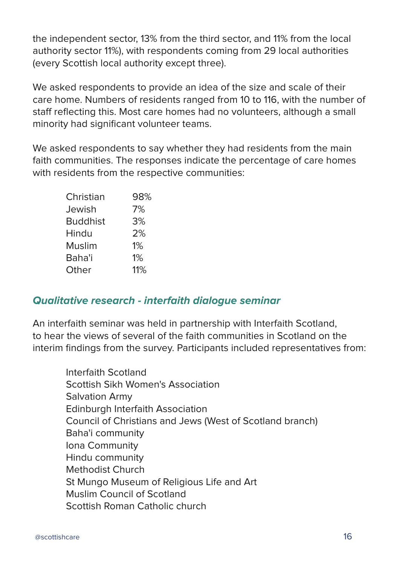the independent sector, 13% from the third sector, and 11% from the local authority sector 11%), with respondents coming from 29 local authorities (every Scottish local authority except three).

We asked respondents to provide an idea of the size and scale of their care home. Numbers of residents ranged from 10 to 116, with the number of staff reflecting this. Most care homes had no volunteers, although a small minority had significant volunteer teams.

We asked respondents to say whether they had residents from the main faith communities. The responses indicate the percentage of care homes with residents from the respective communities:

| 98% |
|-----|
| 7%  |
| 3%  |
| 2%  |
| 1%  |
| 1%  |
| 11% |
|     |

## **Qualitative research - interfaith dialogue seminar**

An interfaith seminar was held in partnership with Interfaith Scotland, to hear the views of several of the faith communities in Scotland on the interim findings from the survey. Participants included representatives from:

Interfaith Scotland Scottish Sikh Women's Association Salvation Army Edinburgh Interfaith Association Council of Christians and Jews (West of Scotland branch) Baha'i community Iona Community Hindu community Methodist Church St Mungo Museum of Religious Life and Art Muslim Council of Scotland Scottish Roman Catholic church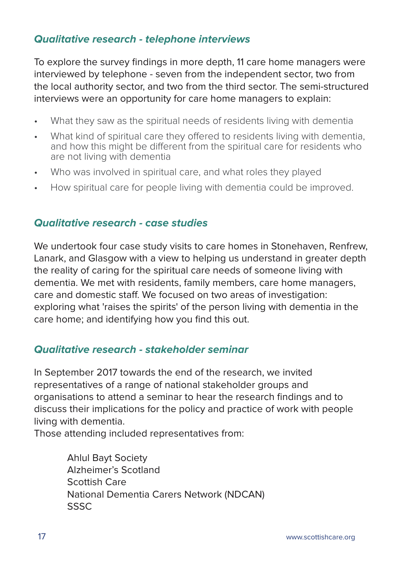## **Qualitative research - telephone interviews**

To explore the survey findings in more depth, 11 care home managers were interviewed by telephone - seven from the independent sector, two from the local authority sector, and two from the third sector. The semi-structured interviews were an opportunity for care home managers to explain:

- What they saw as the spiritual needs of residents living with dementia
- What kind of spiritual care they offered to residents living with dementia, and how this might be different from the spiritual care for residents who are not living with dementia
- Who was involved in spiritual care, and what roles they played
- How spiritual care for people living with dementia could be improved.

### **Qualitative research - case studies**

We undertook four case study visits to care homes in Stonehaven, Renfrew, Lanark, and Glasgow with a view to helping us understand in greater depth the reality of caring for the spiritual care needs of someone living with dementia. We met with residents, family members, care home managers, care and domestic staff. We focused on two areas of investigation: exploring what 'raises the spirits' of the person living with dementia in the care home; and identifying how you find this out.

### **Qualitative research - stakeholder seminar**

In September 2017 towards the end of the research, we invited representatives of a range of national stakeholder groups and organisations to attend a seminar to hear the research findings and to discuss their implications for the policy and practice of work with people living with dementia.

Those attending included representatives from:

Ahlul Bayt Society Alzheimer's Scotland Scottish Care National Dementia Carers Network (NDCAN) SSSC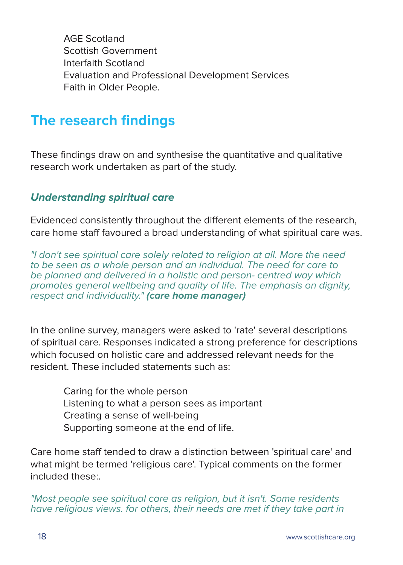AGE Scotland Scottish Government Interfaith Scotland Evaluation and Professional Development Services Faith in Older People.

## **The research findings**

These findings draw on and synthesise the quantitative and qualitative research work undertaken as part of the study.

## **Understanding spiritual care**

Evidenced consistently throughout the different elements of the research, care home staff favoured a broad understanding of what spiritual care was.

"I don't see spiritual care solely related to religion at all. More the need to be seen as a whole person and an individual. The need for care to be planned and delivered in a holistic and person- centred way which promotes general wellbeing and quality of life. The emphasis on dignity, respect and individuality." **(care home manager)**

In the online survey, managers were asked to 'rate' several descriptions of spiritual care. Responses indicated a strong preference for descriptions which focused on holistic care and addressed relevant needs for the resident. These included statements such as:

> Caring for the whole person Listening to what a person sees as important Creating a sense of well-being Supporting someone at the end of life.

Care home staff tended to draw a distinction between 'spiritual care' and what might be termed 'religious care'. Typical comments on the former included these:.

"Most people see spiritual care as religion, but it isn't. Some residents have religious views. for others, their needs are met if they take part in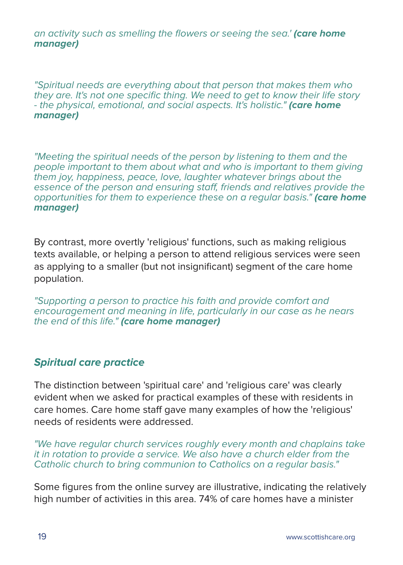an activity such as smelling the flowers or seeing the sea.' **(care home manager)**

"Spiritual needs are everything about that person that makes them who they are. It's not one specific thing. We need to get to know their life story - the physical, emotional, and social aspects. It's holistic." **(care home manager)**

"Meeting the spiritual needs of the person by listening to them and the people important to them about what and who is important to them giving them joy, happiness, peace, love, laughter whatever brings about the essence of the person and ensuring staff, friends and relatives provide the opportunities for them to experience these on a regular basis." **(care home manager)**

By contrast, more overtly 'religious' functions, such as making religious texts available, or helping a person to attend religious services were seen as applying to a smaller (but not insignificant) segment of the care home population.

"Supporting a person to practice his faith and provide comfort and encouragement and meaning in life, particularly in our case as he nears the end of this life." **(care home manager)**

## **Spiritual care practice**

The distinction between 'spiritual care' and 'religious care' was clearly evident when we asked for practical examples of these with residents in care homes. Care home staff gave many examples of how the 'religious' needs of residents were addressed.

"We have regular church services roughly every month and chaplains take it in rotation to provide a service. We also have a church elder from the Catholic church to bring communion to Catholics on a regular basis."

Some figures from the online survey are illustrative, indicating the relatively high number of activities in this area. 74% of care homes have a minister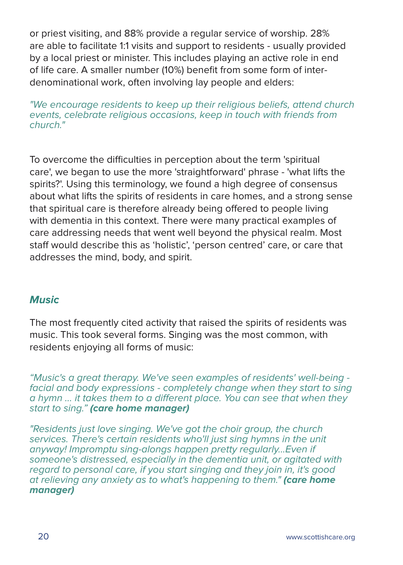or priest visiting, and 88% provide a regular service of worship. 28% are able to facilitate 1:1 visits and support to residents - usually provided by a local priest or minister. This includes playing an active role in end of life care. A smaller number (10%) benefit from some form of interdenominational work, often involving lay people and elders:

"We encourage residents to keep up their religious beliefs, attend church events, celebrate religious occasions, keep in touch with friends from church."

To overcome the difficulties in perception about the term 'spiritual care', we began to use the more 'straightforward' phrase - 'what lifts the spirits?'. Using this terminology, we found a high degree of consensus about what lifts the spirits of residents in care homes, and a strong sense that spiritual care is therefore already being offered to people living with dementia in this context. There were many practical examples of care addressing needs that went well beyond the physical realm. Most staff would describe this as 'holistic', 'person centred' care, or care that addresses the mind, body, and spirit.

## **Music**

The most frequently cited activity that raised the spirits of residents was music. This took several forms. Singing was the most common, with residents enjoying all forms of music:

"Music's a great therapy. We've seen examples of residents' well-being facial and body expressions - completely change when they start to sing a hymn ... it takes them to a different place. You can see that when they start to sing." **(care home manager)**

"Residents just love singing. We've got the choir group, the church services. There's certain residents who'll just sing hymns in the unit anyway! Impromptu sing-alongs happen pretty regularly...Even if someone's distressed, especially in the dementia unit, or agitated with regard to personal care, if you start singing and they join in, it's good at relieving any anxiety as to what's happening to them." **(care home manager)**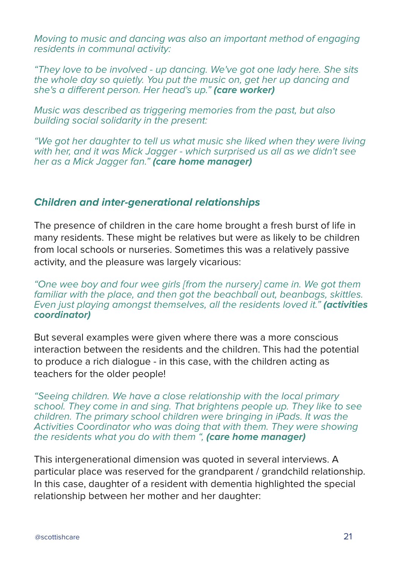Moving to music and dancing was also an important method of engaging residents in communal activity:

"They love to be involved - up dancing. We've got one lady here. She sits the whole day so quietly. You put the music on, get her up dancing and she's a different person. Her head's up." **(care worker)**

Music was described as triggering memories from the past, but also building social solidarity in the present:

"We got her daughter to tell us what music she liked when they were living with her, and it was Mick Jagger - which surprised us all as we didn't see her as a Mick Jagger fan." **(care home manager)**

### **Children and inter-generational relationships**

The presence of children in the care home brought a fresh burst of life in many residents. These might be relatives but were as likely to be children from local schools or nurseries. Sometimes this was a relatively passive activity, and the pleasure was largely vicarious:

"One wee boy and four wee girls [from the nursery] came in. We got them familiar with the place, and then got the beachball out, beanbags, skittles. Even just playing amongst themselves, all the residents loved it." **(activities coordinator)**

But several examples were given where there was a more conscious interaction between the residents and the children. This had the potential to produce a rich dialogue - in this case, with the children acting as teachers for the older people!

"Seeing children. We have a close relationship with the local primary school. They come in and sing. That brightens people up. They like to see children. The primary school children were bringing in iPads. It was the Activities Coordinator who was doing that with them. They were showing the residents what you do with them ", **(care home manager)**

This intergenerational dimension was quoted in several interviews. A particular place was reserved for the grandparent / grandchild relationship. In this case, daughter of a resident with dementia highlighted the special relationship between her mother and her daughter: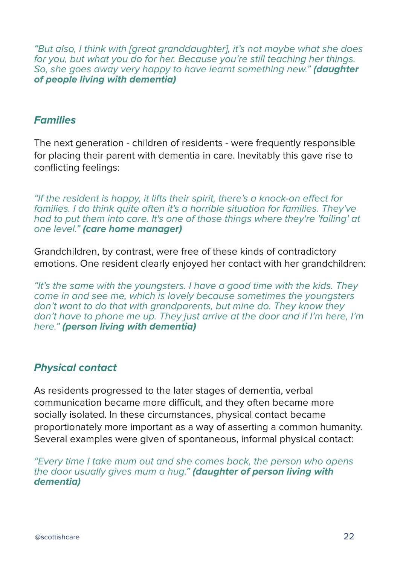"But also, I think with [great granddaughter], it's not maybe what she does for you, but what you do for her. Because you're still teaching her things. So, she goes away very happy to have learnt something new." **(daughter of people living with dementia)**

### **Families**

The next generation - children of residents - were frequently responsible for placing their parent with dementia in care. Inevitably this gave rise to conflicting feelings:

"If the resident is happy, it lifts their spirit, there's a knock-on effect for families. I do think quite often it's a horrible situation for families. They've had to put them into care. It's one of those things where they're 'failing' at one level." **(care home manager)**

Grandchildren, by contrast, were free of these kinds of contradictory emotions. One resident clearly enjoyed her contact with her grandchildren:

"It's the same with the youngsters. I have a good time with the kids. They come in and see me, which is lovely because sometimes the youngsters don't want to do that with grandparents, but mine do. They know they don't have to phone me up. They just arrive at the door and if I'm here, I'm here." **(person living with dementia)**

### **Physical contact**

As residents progressed to the later stages of dementia, verbal communication became more difficult, and they often became more socially isolated. In these circumstances, physical contact became proportionately more important as a way of asserting a common humanity. Several examples were given of spontaneous, informal physical contact:

"Every time I take mum out and she comes back, the person who opens the door usually gives mum a hug." **(daughter of person living with dementia)**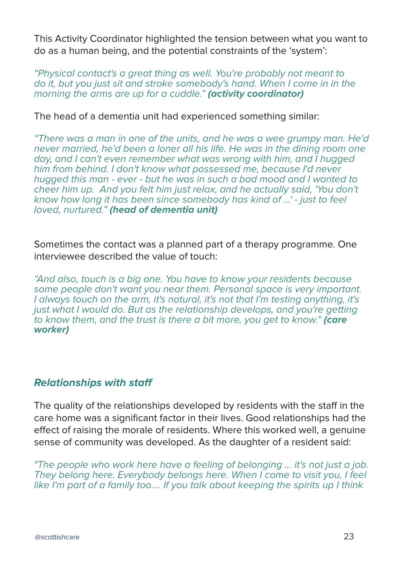This Activity Coordinator highlighted the tension between what you want to do as a human being, and the potential constraints of the 'system':

"Physical contact's a great thing as well. You're probably not meant to do it, but you just sit and stroke somebody's hand. When I come in in the morning the arms are up for a cuddle." **(activity coordinator)**

The head of a dementia unit had experienced something similar:

"There was a man in one of the units, and he was a wee grumpy man. He'd never married, he'd been a loner all his life. He was in the dining room one day, and I can't even remember what was wrong with him, and I hugged him from behind. I don't know what possessed me, because I'd never hugged this man - ever - but he was in such a bad mood and I wanted to cheer him up. And you felt him just relax, and he actually said, 'You don't know how long it has been since somebody has kind of ...' - just to feel loved, nurtured." **(head of dementia unit)**

Sometimes the contact was a planned part of a therapy programme. One interviewee described the value of touch:

"And also, touch is a big one. You have to know your residents because some people don't want you near them. Personal space is very important. I always touch on the arm, it's natural, it's not that I'm testing anything, it's just what I would do. But as the relationship develops, and you're getting to know them, and the trust is there a bit more, you get to know." **(care worker)**

## **Relationships with staff**

The quality of the relationships developed by residents with the staff in the care home was a significant factor in their lives. Good relationships had the effect of raising the morale of residents. Where this worked well, a genuine sense of community was developed. As the daughter of a resident said:

"The people who work here have a feeling of belonging ... it's not just a job. They belong here. Everybody belongs here. When I come to visit you, I feel like I'm part of a family too.... If you talk about keeping the spirits up I think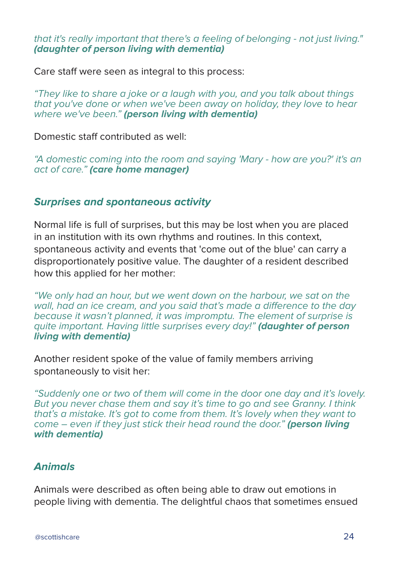that it's really important that there's a feeling of belonging - not just living." **(daughter of person living with dementia)**

Care staff were seen as integral to this process:

"They like to share a joke or a laugh with you, and you talk about things that you've done or when we've been away on holiday, they love to hear where we've been." **(person living with dementia)**

Domestic staff contributed as well:

"A domestic coming into the room and saying 'Mary - how are you?' it's an act of care." **(care home manager)**

### **Surprises and spontaneous activity**

Normal life is full of surprises, but this may be lost when you are placed in an institution with its own rhythms and routines. In this context, spontaneous activity and events that 'come out of the blue' can carry a disproportionately positive value. The daughter of a resident described how this applied for her mother:

"We only had an hour, but we went down on the harbour, we sat on the wall, had an ice cream, and you said that's made a difference to the day because it wasn't planned, it was impromptu. The element of surprise is quite important. Having little surprises every day!" **(daughter of person living with dementia)**

Another resident spoke of the value of family members arriving spontaneously to visit her:

"Suddenly one or two of them will come in the door one day and it's lovely. But you never chase them and say it's time to go and see Granny. I think that's a mistake. It's got to come from them. It's lovely when they want to come – even if they just stick their head round the door." **(person living with dementia)**

## **Animals**

Animals were described as often being able to draw out emotions in people living with dementia. The delightful chaos that sometimes ensued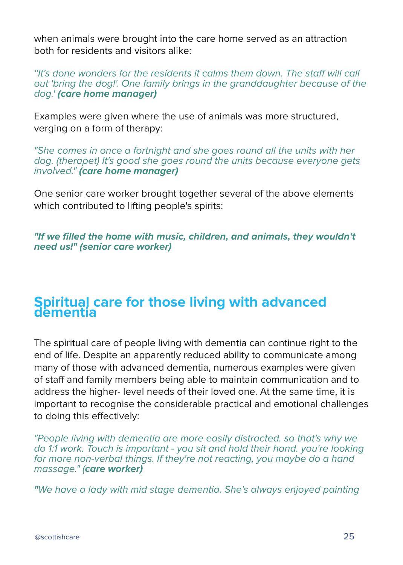when animals were brought into the care home served as an attraction both for residents and visitors alike:

"It's done wonders for the residents it calms them down. The staff will call out 'bring the dog!'. One family brings in the granddaughter because of the dog.' **(care home manager)**

Examples were given where the use of animals was more structured, verging on a form of therapy:

"She comes in once a fortnight and she goes round all the units with her dog. (therapet) It's good she goes round the units because everyone gets involved." **(care home manager)**

One senior care worker brought together several of the above elements which contributed to lifting people's spirits:

**"If we filled the home with music, children, and animals, they wouldn't need us!" (senior care worker)**

## **Spiritual care for those living with advanced dementia**

The spiritual care of people living with dementia can continue right to the end of life. Despite an apparently reduced ability to communicate among many of those with advanced dementia, numerous examples were given of staff and family members being able to maintain communication and to address the higher- level needs of their loved one. At the same time, it is important to recognise the considerable practical and emotional challenges to doing this effectively:

"People living with dementia are more easily distracted. so that's why we do 1:1 work. Touch is important - you sit and hold their hand. you're looking for more non-verbal things. If they're not reacting, you maybe do a hand massage." (**care worker)**

**"**We have a lady with mid stage dementia. She's always enjoyed painting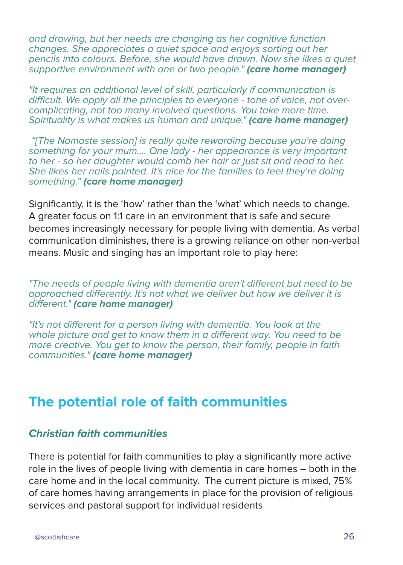and drawing, but her needs are changing as her cognitive function changes. She appreciates a quiet space and enjoys sorting out her pencils into colours. Before, she would have drawn. Now she likes a quiet supportive environment with one or two people." **(care home manager)**

"It requires an additional level of skill, particularly if communication is difficult. We apply all the principles to everyone - tone of voice, not overcomplicating, not too many involved questions. You take more time. Spirituality is what makes us human and unique." **(care home manager)**

 "[The Namaste session] is really quite rewarding because you're doing something for your mum.... One lady - her appearance is very important to her - so her daughter would comb her hair or just sit and read to her. She likes her nails painted. It's nice for the families to feel they're doing something." **(care home manager)**

Significantly, it is the 'how' rather than the 'what' which needs to change. A greater focus on 1:1 care in an environment that is safe and secure becomes increasingly necessary for people living with dementia. As verbal communication diminishes, there is a growing reliance on other non-verbal means. Music and singing has an important role to play here:

"The needs of people living with dementia aren't different but need to be approached differently. It's not what we deliver but how we deliver it is different." **(care home manager)**

"It's not different for a person living with dementia. You look at the whole picture and get to know them in a different way. You need to be more creative. You get to know the person, their family, people in faith communities." **(care home manager)**

## **The potential role of faith communities**

### **Christian faith communities**

There is potential for faith communities to play a significantly more active role in the lives of people living with dementia in care homes – both in the care home and in the local community. The current picture is mixed, 75% of care homes having arrangements in place for the provision of religious services and pastoral support for individual residents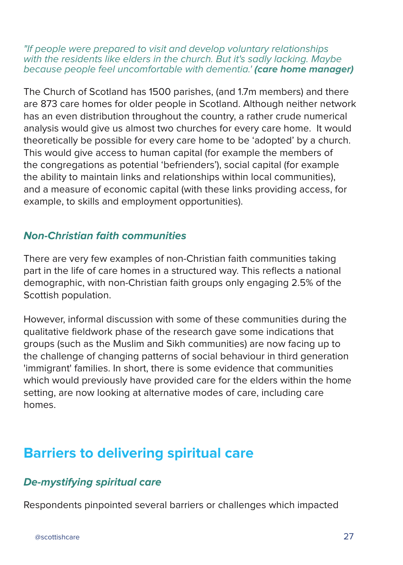"If people were prepared to visit and develop voluntary relationships with the residents like elders in the church. But it's sadly lacking. Maybe because people feel uncomfortable with dementia.' **(care home manager)**

The Church of Scotland has 1500 parishes, (and 1.7m members) and there are 873 care homes for older people in Scotland. Although neither network has an even distribution throughout the country, a rather crude numerical analysis would give us almost two churches for every care home. It would theoretically be possible for every care home to be 'adopted' by a church. This would give access to human capital (for example the members of the congregations as potential 'befrienders'), social capital (for example the ability to maintain links and relationships within local communities), and a measure of economic capital (with these links providing access, for example, to skills and employment opportunities).

## **Non-Christian faith communities**

There are very few examples of non-Christian faith communities taking part in the life of care homes in a structured way. This reflects a national demographic, with non-Christian faith groups only engaging 2.5% of the Scottish population.

However, informal discussion with some of these communities during the qualitative fieldwork phase of the research gave some indications that groups (such as the Muslim and Sikh communities) are now facing up to the challenge of changing patterns of social behaviour in third generation 'immigrant' families. In short, there is some evidence that communities which would previously have provided care for the elders within the home setting, are now looking at alternative modes of care, including care homes.

## **Barriers to delivering spiritual care**

## **De-mystifying spiritual care**

Respondents pinpointed several barriers or challenges which impacted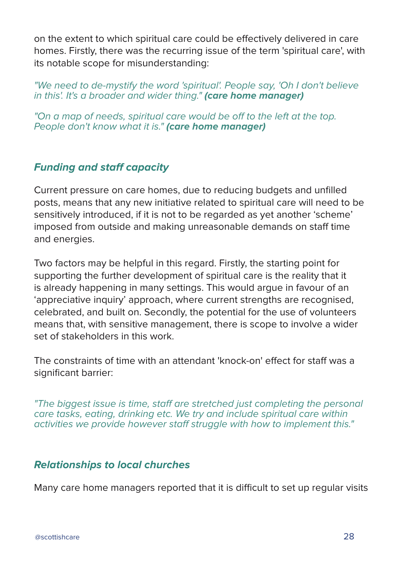on the extent to which spiritual care could be effectively delivered in care homes. Firstly, there was the recurring issue of the term 'spiritual care', with its notable scope for misunderstanding:

"We need to de-mystify the word 'spiritual'. People say, 'Oh I don't believe in this'. It's a broader and wider thing." **(care home manager)**

"On a map of needs, spiritual care would be off to the left at the top. People don't know what it is." **(care home manager)**

## **Funding and staff capacity**

Current pressure on care homes, due to reducing budgets and unfilled posts, means that any new initiative related to spiritual care will need to be sensitively introduced, if it is not to be regarded as yet another 'scheme' imposed from outside and making unreasonable demands on staff time and energies.

Two factors may be helpful in this regard. Firstly, the starting point for supporting the further development of spiritual care is the reality that it is already happening in many settings. This would argue in favour of an 'appreciative inquiry' approach, where current strengths are recognised, celebrated, and built on. Secondly, the potential for the use of volunteers means that, with sensitive management, there is scope to involve a wider set of stakeholders in this work.

The constraints of time with an attendant 'knock-on' effect for staff was a significant barrier:

"The biggest issue is time, staff are stretched just completing the personal care tasks, eating, drinking etc. We try and include spiritual care within activities we provide however staff struggle with how to implement this."

## **Relationships to local churches**

Many care home managers reported that it is difficult to set up regular visits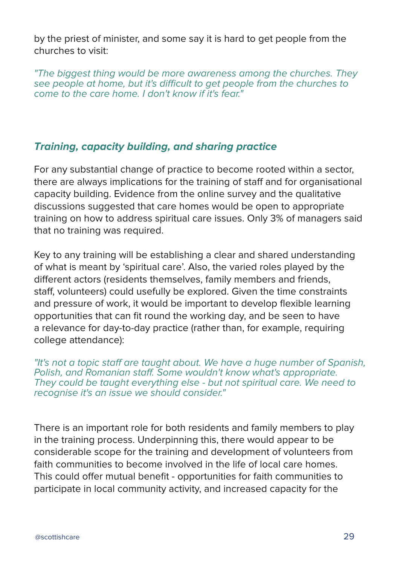by the priest of minister, and some say it is hard to get people from the churches to visit:

"The biggest thing would be more awareness among the churches. They see people at home, but it's difficult to get people from the churches to come to the care home. I don't know if it's fear."

## **Training, capacity building, and sharing practice**

For any substantial change of practice to become rooted within a sector, there are always implications for the training of staff and for organisational capacity building. Evidence from the online survey and the qualitative discussions suggested that care homes would be open to appropriate training on how to address spiritual care issues. Only 3% of managers said that no training was required.

Key to any training will be establishing a clear and shared understanding of what is meant by 'spiritual care'. Also, the varied roles played by the different actors (residents themselves, family members and friends, staff, volunteers) could usefully be explored. Given the time constraints and pressure of work, it would be important to develop flexible learning opportunities that can fit round the working day, and be seen to have a relevance for day-to-day practice (rather than, for example, requiring college attendance):

"It's not a topic staff are taught about. We have a huge number of Spanish, Polish, and Romanian staff. Some wouldn't know what's appropriate. They could be taught everything else - but not spiritual care. We need to recognise it's an issue we should consider."

There is an important role for both residents and family members to play in the training process. Underpinning this, there would appear to be considerable scope for the training and development of volunteers from faith communities to become involved in the life of local care homes. This could offer mutual benefit - opportunities for faith communities to participate in local community activity, and increased capacity for the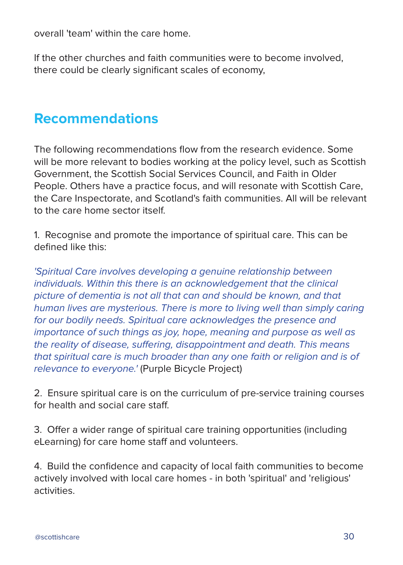overall 'team' within the care home.

If the other churches and faith communities were to become involved, there could be clearly significant scales of economy,

## **Recommendations**

The following recommendations flow from the research evidence. Some will be more relevant to bodies working at the policy level, such as Scottish Government, the Scottish Social Services Council, and Faith in Older People. Others have a practice focus, and will resonate with Scottish Care, the Care Inspectorate, and Scotland's faith communities. All will be relevant to the care home sector itself.

1. Recognise and promote the importance of spiritual care. This can be defined like this:

'Spiritual Care involves developing a genuine relationship between individuals. Within this there is an acknowledgement that the clinical picture of dementia is not all that can and should be known, and that human lives are mysterious. There is more to living well than simply caring for our bodily needs. Spiritual care acknowledges the presence and importance of such things as joy, hope, meaning and purpose as well as the reality of disease, suffering, disappointment and death. This means that spiritual care is much broader than any one faith or religion and is of relevance to everyone.' (Purple Bicycle Project)

2. Ensure spiritual care is on the curriculum of pre-service training courses for health and social care staff.

3. Offer a wider range of spiritual care training opportunities (including eLearning) for care home staff and volunteers.

4. Build the confidence and capacity of local faith communities to become actively involved with local care homes - in both 'spiritual' and 'religious' activities.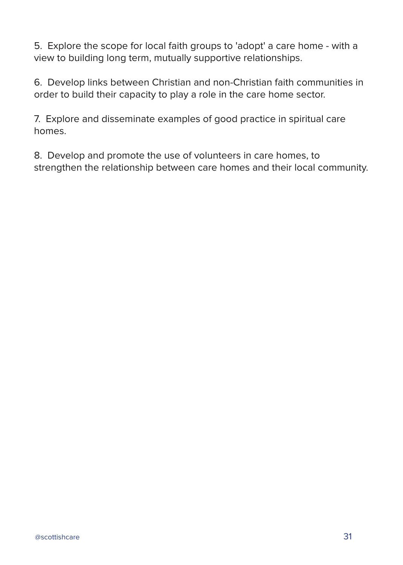5. Explore the scope for local faith groups to 'adopt' a care home - with a view to building long term, mutually supportive relationships.

6. Develop links between Christian and non-Christian faith communities in order to build their capacity to play a role in the care home sector.

7. Explore and disseminate examples of good practice in spiritual care homes.

8. Develop and promote the use of volunteers in care homes, to strengthen the relationship between care homes and their local community.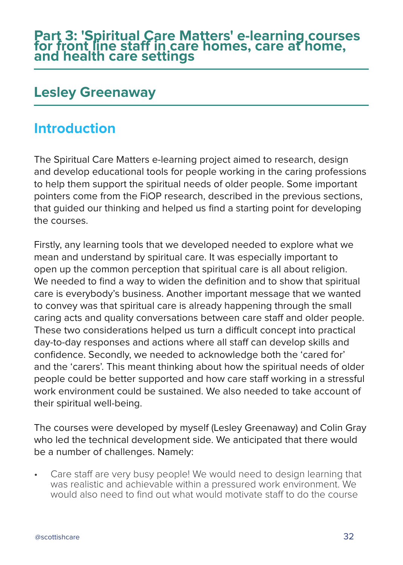## **Lesley Greenaway**

## **Introduction**

The Spiritual Care Matters e-learning project aimed to research, design and develop educational tools for people working in the caring professions to help them support the spiritual needs of older people. Some important pointers come from the FiOP research, described in the previous sections, that guided our thinking and helped us find a starting point for developing the courses.

Firstly, any learning tools that we developed needed to explore what we mean and understand by spiritual care. It was especially important to open up the common perception that spiritual care is all about religion. We needed to find a way to widen the definition and to show that spiritual care is everybody's business. Another important message that we wanted to convey was that spiritual care is already happening through the small caring acts and quality conversations between care staff and older people. These two considerations helped us turn a difficult concept into practical day-to-day responses and actions where all staff can develop skills and confidence. Secondly, we needed to acknowledge both the 'cared for' and the 'carers'. This meant thinking about how the spiritual needs of older people could be better supported and how care staff working in a stressful work environment could be sustained. We also needed to take account of their spiritual well-being.

The courses were developed by myself (Lesley Greenaway) and Colin Gray who led the technical development side. We anticipated that there would be a number of challenges. Namely:

• Care staff are very busy people! We would need to design learning that was realistic and achievable within a pressured work environment. We would also need to find out what would motivate staff to do the course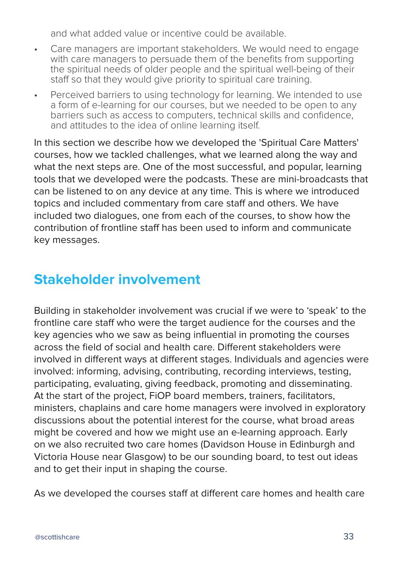and what added value or incentive could be available.

- Care managers are important stakeholders. We would need to engage with care managers to persuade them of the benefits from supporting the spiritual needs of older people and the spiritual well-being of their staff so that they would give priority to spiritual care training.
- Perceived barriers to using technology for learning. We intended to use a form of e-learning for our courses, but we needed to be open to any barriers such as access to computers, technical skills and confidence, and attitudes to the idea of online learning itself.

In this section we describe how we developed the 'Spiritual Care Matters' courses, how we tackled challenges, what we learned along the way and what the next steps are. One of the most successful, and popular, learning tools that we developed were the podcasts. These are mini-broadcasts that can be listened to on any device at any time. This is where we introduced topics and included commentary from care staff and others. We have included two dialogues, one from each of the courses, to show how the contribution of frontline staff has been used to inform and communicate key messages.

# **Stakeholder involvement**

Building in stakeholder involvement was crucial if we were to 'speak' to the frontline care staff who were the target audience for the courses and the key agencies who we saw as being influential in promoting the courses across the field of social and health care. Different stakeholders were involved in different ways at different stages. Individuals and agencies were involved: informing, advising, contributing, recording interviews, testing, participating, evaluating, giving feedback, promoting and disseminating. At the start of the project, FiOP board members, trainers, facilitators, ministers, chaplains and care home managers were involved in exploratory discussions about the potential interest for the course, what broad areas might be covered and how we might use an e-learning approach. Early on we also recruited two care homes (Davidson House in Edinburgh and Victoria House near Glasgow) to be our sounding board, to test out ideas and to get their input in shaping the course.

As we developed the courses staff at different care homes and health care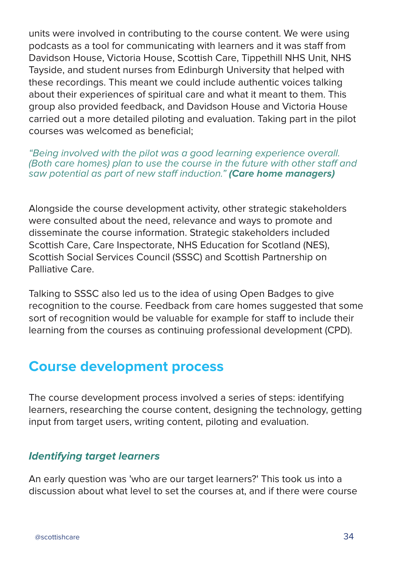units were involved in contributing to the course content. We were using podcasts as a tool for communicating with learners and it was staff from Davidson House, Victoria House, Scottish Care, Tippethill NHS Unit, NHS Tayside, and student nurses from Edinburgh University that helped with these recordings. This meant we could include authentic voices talking about their experiences of spiritual care and what it meant to them. This group also provided feedback, and Davidson House and Victoria House carried out a more detailed piloting and evaluation. Taking part in the pilot courses was welcomed as beneficial;

"Being involved with the pilot was a good learning experience overall. (Both care homes) plan to use the course in the future with other staff and saw potential as part of new staff induction." **(Care home managers)**

Alongside the course development activity, other strategic stakeholders were consulted about the need, relevance and ways to promote and disseminate the course information. Strategic stakeholders included Scottish Care, Care Inspectorate, NHS Education for Scotland (NES), Scottish Social Services Council (SSSC) and Scottish Partnership on Palliative Care.

Talking to SSSC also led us to the idea of using Open Badges to give recognition to the course. Feedback from care homes suggested that some sort of recognition would be valuable for example for staff to include their learning from the courses as continuing professional development (CPD).

## **Course development process**

The course development process involved a series of steps: identifying learners, researching the course content, designing the technology, getting input from target users, writing content, piloting and evaluation.

## **Identifying target learners**

An early question was 'who are our target learners?' This took us into a discussion about what level to set the courses at, and if there were course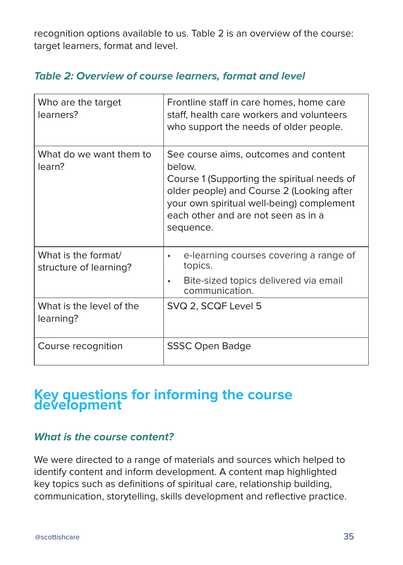recognition options available to us. Table 2 is an overview of the course: target learners, format and level.

## **Table 2: Overview of course learners, format and level**

| Who are the target<br>learners?               | Frontline staff in care homes, home care<br>staff, health care workers and volunteers<br>who support the needs of older people.                                                                                                              |
|-----------------------------------------------|----------------------------------------------------------------------------------------------------------------------------------------------------------------------------------------------------------------------------------------------|
| What do we want them to<br>learn?             | See course aims, outcomes and content<br>below.<br>Course 1 (Supporting the spiritual needs of<br>older people) and Course 2 (Looking after<br>your own spiritual well-being) complement<br>each other and are not seen as in a<br>sequence. |
| What is the format/<br>structure of learning? | e-learning courses covering a range of<br>$\bullet$<br>topics.                                                                                                                                                                               |
|                                               | Bite-sized topics delivered via email<br>$\bullet$<br>communication.                                                                                                                                                                         |
| What is the level of the<br>learning?         | SVQ 2, SCQF Level 5                                                                                                                                                                                                                          |
| Course recognition                            | <b>SSSC Open Badge</b>                                                                                                                                                                                                                       |

## **Key questions for informing the course development**

### **What is the course content?**

We were directed to a range of materials and sources which helped to identify content and inform development. A content map highlighted key topics such as definitions of spiritual care, relationship building, communication, storytelling, skills development and reflective practice.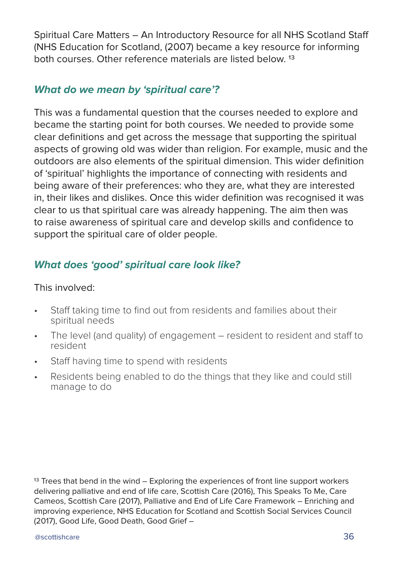Spiritual Care Matters – An Introductory Resource for all NHS Scotland Staff (NHS Education for Scotland, (2007) became a key resource for informing both courses. Other reference materials are listed below. 13

## **What do we mean by 'spiritual care'?**

This was a fundamental question that the courses needed to explore and became the starting point for both courses. We needed to provide some clear definitions and get across the message that supporting the spiritual aspects of growing old was wider than religion. For example, music and the outdoors are also elements of the spiritual dimension. This wider definition of 'spiritual' highlights the importance of connecting with residents and being aware of their preferences: who they are, what they are interested in, their likes and dislikes. Once this wider definition was recognised it was clear to us that spiritual care was already happening. The aim then was to raise awareness of spiritual care and develop skills and confidence to support the spiritual care of older people.

## **What does 'good' spiritual care look like?**

#### This involved:

- Staff taking time to find out from residents and families about their spiritual needs
- The level (and quality) of engagement resident to resident and staff to resident
- Staff having time to spend with residents
- Residents being enabled to do the things that they like and could still manage to do

<sup>13</sup> Trees that bend in the wind – Exploring the experiences of front line support workers delivering palliative and end of life care, Scottish Care (2016), This Speaks To Me, Care Cameos, Scottish Care (2017), Palliative and End of Life Care Framework – Enriching and improving experience, NHS Education for Scotland and Scottish Social Services Council (2017), Good Life, Good Death, Good Grief –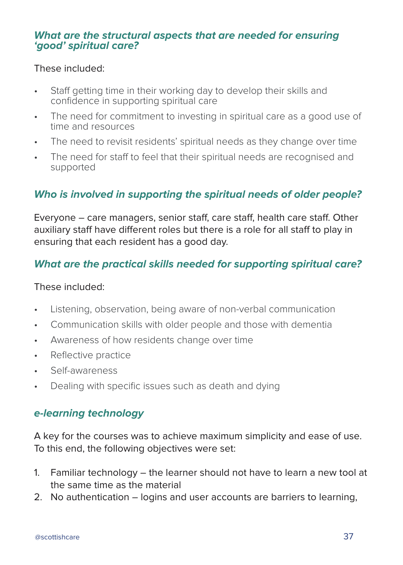### **What are the structural aspects that are needed for ensuring 'good' spiritual care?**

#### These included:

- Staff getting time in their working day to develop their skills and confidence in supporting spiritual care
- The need for commitment to investing in spiritual care as a good use of time and resources
- The need to revisit residents' spiritual needs as they change over time
- The need for staff to feel that their spiritual needs are recognised and supported

## **Who is involved in supporting the spiritual needs of older people?**

Everyone – care managers, senior staff, care staff, health care staff. Other auxiliary staff have different roles but there is a role for all staff to play in ensuring that each resident has a good day.

## **What are the practical skills needed for supporting spiritual care?**

#### These included:

- Listening, observation, being aware of non-verbal communication
- Communication skills with older people and those with dementia
- Awareness of how residents change over time
- Reflective practice
- Self-awareness
- Dealing with specific issues such as death and dying

### **e-learning technology**

A key for the courses was to achieve maximum simplicity and ease of use. To this end, the following objectives were set:

- 1. Familiar technology the learner should not have to learn a new tool at the same time as the material
- 2. No authentication logins and user accounts are barriers to learning,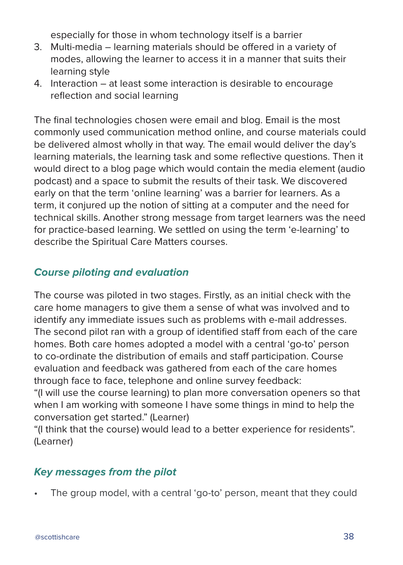especially for those in whom technology itself is a barrier

- 3. Multi-media learning materials should be offered in a variety of modes, allowing the learner to access it in a manner that suits their learning style
- 4. Interaction at least some interaction is desirable to encourage reflection and social learning

The final technologies chosen were email and blog. Email is the most commonly used communication method online, and course materials could be delivered almost wholly in that way. The email would deliver the day's learning materials, the learning task and some reflective questions. Then it would direct to a blog page which would contain the media element (audio podcast) and a space to submit the results of their task. We discovered early on that the term 'online learning' was a barrier for learners. As a term, it conjured up the notion of sitting at a computer and the need for technical skills. Another strong message from target learners was the need for practice-based learning. We settled on using the term 'e-learning' to describe the Spiritual Care Matters courses.

## **Course piloting and evaluation**

The course was piloted in two stages. Firstly, as an initial check with the care home managers to give them a sense of what was involved and to identify any immediate issues such as problems with e-mail addresses. The second pilot ran with a group of identified staff from each of the care homes. Both care homes adopted a model with a central 'go-to' person to co-ordinate the distribution of emails and staff participation. Course evaluation and feedback was gathered from each of the care homes through face to face, telephone and online survey feedback:

"(I will use the course learning) to plan more conversation openers so that when I am working with someone I have some things in mind to help the conversation get started." (Learner)

"(I think that the course) would lead to a better experience for residents". (Learner)

## **Key messages from the pilot**

The group model, with a central 'go-to' person, meant that they could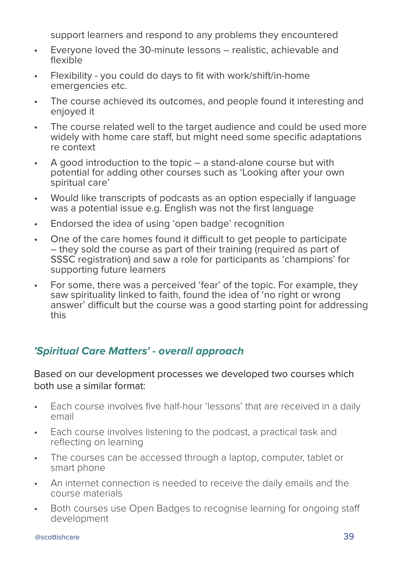support learners and respond to any problems they encountered

- Everyone loved the 30-minute lessons realistic, achievable and flexible
- Flexibility you could do days to fit with work/shift/in-home emergencies etc.
- The course achieved its outcomes, and people found it interesting and enjoyed it
- The course related well to the target audience and could be used more widely with home care staff, but might need some specific adaptations re context
- A good introduction to the topic a stand-alone course but with potential for adding other courses such as 'Looking after your own spiritual care'
- Would like transcripts of podcasts as an option especially if language was a potential issue e.g. English was not the first language
- Endorsed the idea of using 'open badge' recognition
- One of the care homes found it difficult to get people to participate – they sold the course as part of their training (required as part of SSSC registration) and saw a role for participants as 'champions' for supporting future learners
- For some, there was a perceived 'fear' of the topic. For example, they saw spirituality linked to faith, found the idea of 'no right or wrong answer' difficult but the course was a good starting point for addressing this

## **'Spiritual Care Matters' - overall approach**

### Based on our development processes we developed two courses which both use a similar format:

- Each course involves five half-hour 'lessons' that are received in a daily email
- Each course involves listening to the podcast, a practical task and reflecting on learning
- The courses can be accessed through a laptop, computer, tablet or smart phone
- An internet connection is needed to receive the daily emails and the course materials
- Both courses use Open Badges to recognise learning for ongoing staff development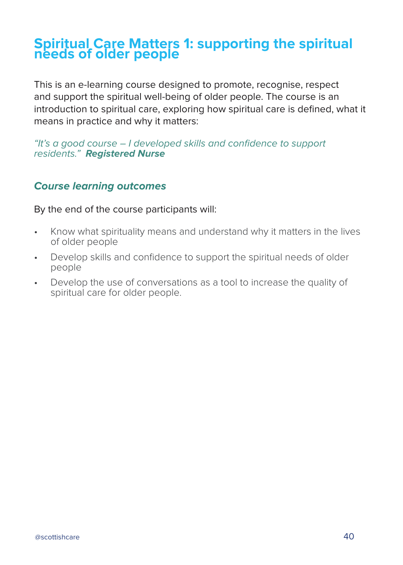## **Spiritual Care Matters 1: supporting the spiritual needs of older people**

This is an e-learning course designed to promote, recognise, respect and support the spiritual well-being of older people. The course is an introduction to spiritual care, exploring how spiritual care is defined, what it means in practice and why it matters:

"It's a good course – I developed skills and confidence to support residents." **Registered Nurse**

## **Course learning outcomes**

By the end of the course participants will:

- Know what spirituality means and understand why it matters in the lives of older people
- Develop skills and confidence to support the spiritual needs of older people
- Develop the use of conversations as a tool to increase the quality of spiritual care for older people.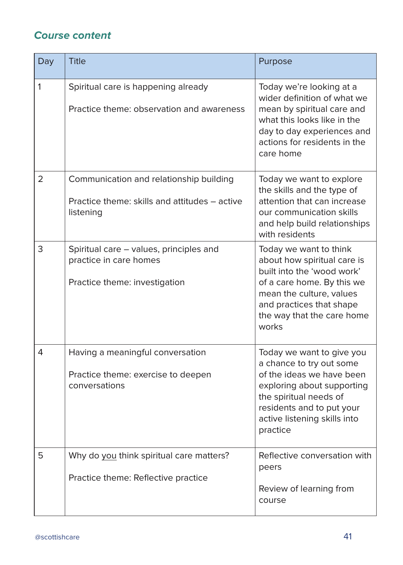## **Course content**

| Day | <b>Title</b>                                                                                          | Purpose                                                                                                                                                                                                             |
|-----|-------------------------------------------------------------------------------------------------------|---------------------------------------------------------------------------------------------------------------------------------------------------------------------------------------------------------------------|
| 1   | Spiritual care is happening already<br>Practice theme: observation and awareness                      | Today we're looking at a<br>wider definition of what we<br>mean by spiritual care and<br>what this looks like in the<br>day to day experiences and<br>actions for residents in the<br>care home                     |
| 2   | Communication and relationship building<br>Practice theme: skills and attitudes – active<br>listening | Today we want to explore<br>the skills and the type of<br>attention that can increase<br>our communication skills<br>and help build relationships<br>with residents                                                 |
| 3   | Spiritual care - values, principles and<br>practice in care homes<br>Practice theme: investigation    | Today we want to think<br>about how spiritual care is<br>built into the 'wood work'<br>of a care home. By this we<br>mean the culture, values<br>and practices that shape<br>the way that the care home<br>works    |
| 4   | Having a meaningful conversation<br>Practice theme: exercise to deepen<br>conversations               | Today we want to give you<br>a chance to try out some<br>of the ideas we have been<br>exploring about supporting<br>the spiritual needs of<br>residents and to put your<br>active listening skills into<br>practice |
| 5   | Why do you think spiritual care matters?<br>Practice theme: Reflective practice                       | Reflective conversation with<br>peers<br>Review of learning from<br>course                                                                                                                                          |

ı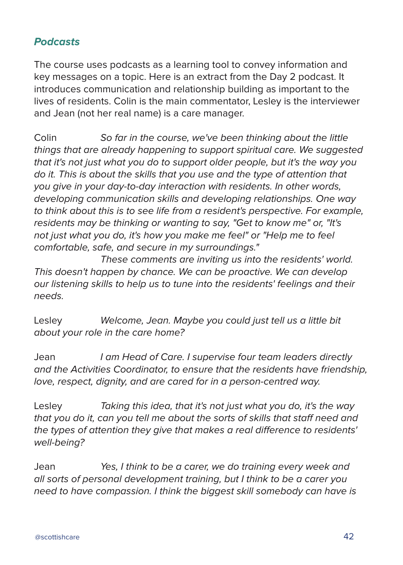## **Podcasts**

The course uses podcasts as a learning tool to convey information and key messages on a topic. Here is an extract from the Day 2 podcast. It introduces communication and relationship building as important to the lives of residents. Colin is the main commentator, Lesley is the interviewer and Jean (not her real name) is a care manager.

Colin So far in the course, we've been thinking about the little things that are already happening to support spiritual care. We suggested that it's not just what you do to support older people, but it's the way you do it. This is about the skills that you use and the type of attention that you give in your day-to-day interaction with residents. In other words, developing communication skills and developing relationships. One way to think about this is to see life from a resident's perspective. For example, residents may be thinking or wanting to say, "Get to know me" or, "It's not just what you do, it's how you make me feel" or "Help me to feel comfortable, safe, and secure in my surroundings."

 These comments are inviting us into the residents' world. This doesn't happen by chance. We can be proactive. We can develop our listening skills to help us to tune into the residents' feelings and their needs.

Lesley Welcome, Jean. Maybe you could just tell us a little bit about your role in the care home?

Jean I am Head of Care. I supervise four team leaders directly and the Activities Coordinator, to ensure that the residents have friendship, love, respect, dignity, and are cared for in a person-centred way.

Lesley Taking this idea, that it's not just what you do, it's the way that you do it, can you tell me about the sorts of skills that staff need and the types of attention they give that makes a real difference to residents' well-being?

Jean Yes, I think to be a carer, we do training every week and all sorts of personal development training, but I think to be a carer you need to have compassion. I think the biggest skill somebody can have is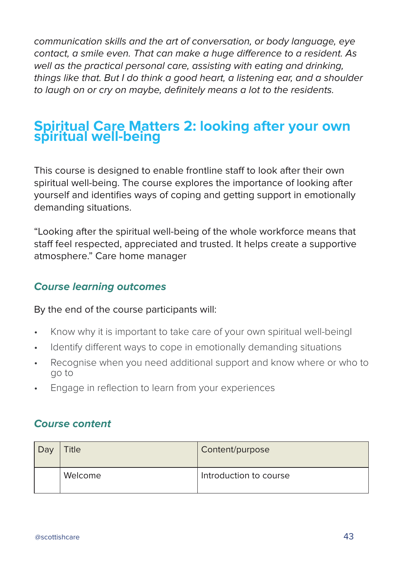communication skills and the art of conversation, or body language, eye contact, a smile even. That can make a huge difference to a resident. As well as the practical personal care, assisting with eating and drinking, things like that. But I do think a good heart, a listening ear, and a shoulder to laugh on or cry on maybe, definitely means a lot to the residents.

## **Spiritual Care Matters 2: looking after your own spiritual well-being**

This course is designed to enable frontline staff to look after their own spiritual well-being. The course explores the importance of looking after yourself and identifies ways of coping and getting support in emotionally demanding situations.

"Looking after the spiritual well-being of the whole workforce means that staff feel respected, appreciated and trusted. It helps create a supportive atmosphere." Care home manager

## **Course learning outcomes**

By the end of the course participants will:

- Know why it is important to take care of your own spiritual well-beingl
- Identify different ways to cope in emotionally demanding situations
- Recognise when you need additional support and know where or who to go to
- Engage in reflection to learn from your experiences

## **Course content**

| Dav | <b>Title</b> | Content/purpose        |
|-----|--------------|------------------------|
|     | Welcome      | Introduction to course |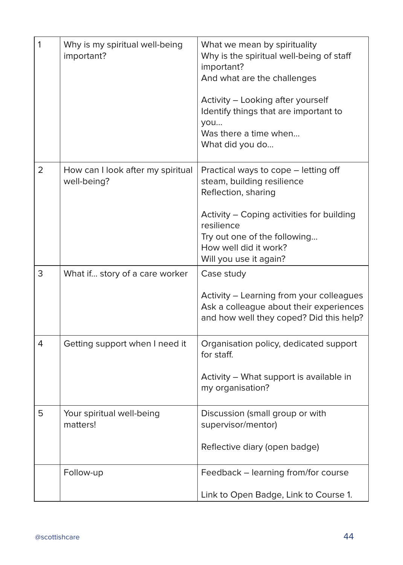| $\mathbf{1}$ | Why is my spiritual well-being<br>important?     | What we mean by spirituality<br>Why is the spiritual well-being of staff<br>important?<br>And what are the challenges<br>Activity - Looking after yourself<br>Identify things that are important to<br>you<br>Was there a time when<br>What did you do |
|--------------|--------------------------------------------------|--------------------------------------------------------------------------------------------------------------------------------------------------------------------------------------------------------------------------------------------------------|
| 2            | How can I look after my spiritual<br>well-being? | Practical ways to cope - letting off<br>steam, building resilience<br>Reflection, sharing<br>Activity - Coping activities for building<br>resilience<br>Try out one of the following<br>How well did it work?<br>Will you use it again?                |
| 3            | What if story of a care worker                   | Case study<br>Activity - Learning from your colleagues<br>Ask a colleague about their experiences<br>and how well they coped? Did this help?                                                                                                           |
| 4            | Getting support when I need it                   | Organisation policy, dedicated support<br>for staff.<br>Activity - What support is available in<br>my organisation?                                                                                                                                    |
| 5            | Your spiritual well-being<br>matters!            | Discussion (small group or with<br>supervisor/mentor)<br>Reflective diary (open badge)                                                                                                                                                                 |
|              | Follow-up                                        | Feedback - learning from/for course<br>Link to Open Badge, Link to Course 1.                                                                                                                                                                           |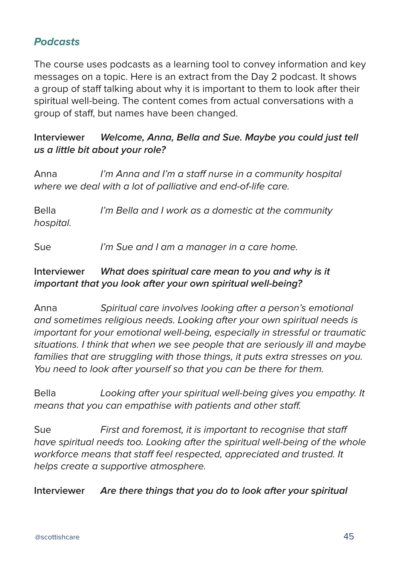## **Podcasts**

The course uses podcasts as a learning tool to convey information and key messages on a topic. Here is an extract from the Day 2 podcast. It shows a group of staff talking about why it is important to them to look after their spiritual well-being. The content comes from actual conversations with a group of staff, but names have been changed.

### **Interviewer Welcome, Anna, Bella and Sue. Maybe you could just tell us a little bit about your role?**

Anna *I'm Anna and I'm a staff nurse in a community hospital* where we deal with a lot of palliative and end-of-life care.

Bella *I'm Bella and I work as a domestic at the community* hospital.

Sue I'm Sue and I am a manager in a care home.

### **Interviewer What does spiritual care mean to you and why is it important that you look after your own spiritual well-being?**

Anna Spiritual care involves looking after a person's emotional and sometimes religious needs. Looking after your own spiritual needs is important for your emotional well-being, especially in stressful or traumatic situations. I think that when we see people that are seriously ill and maybe families that are struggling with those things, it puts extra stresses on you. You need to look after yourself so that you can be there for them.

Bella Looking after your spiritual well-being gives you empathy. It means that you can empathise with patients and other staff.

Sue First and foremost, it is important to recognise that staff have spiritual needs too. Looking after the spiritual well-being of the whole workforce means that staff feel respected, appreciated and trusted. It helps create a supportive atmosphere.

**Interviewer Are there things that you do to look after your spiritual**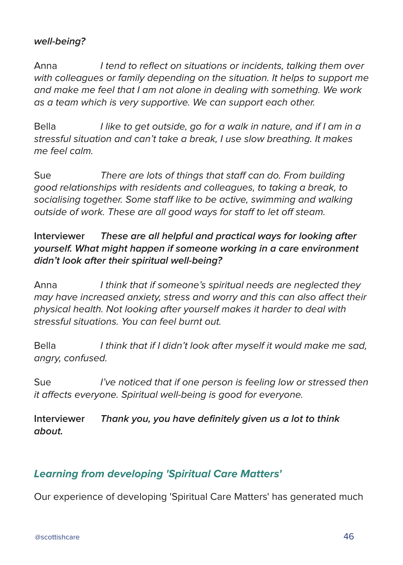### **well-being?**

Anna I tend to reflect on situations or incidents, talking them over with colleagues or family depending on the situation. It helps to support me and make me feel that I am not alone in dealing with something. We work as a team which is very supportive. We can support each other.

Bella *I like to get outside, go for a walk in nature, and if I am in a* stressful situation and can't take a break, I use slow breathing. It makes me feel calm.

Sue There are lots of things that staff can do. From building good relationships with residents and colleagues, to taking a break, to socialising together. Some staff like to be active, swimming and walking outside of work. These are all good ways for staff to let off steam.

### **Interviewer These are all helpful and practical ways for looking after yourself. What might happen if someone working in a care environment didn't look after their spiritual well-being?**

Anna I think that if someone's spiritual needs are neglected they may have increased anxiety, stress and worry and this can also affect their physical health. Not looking after yourself makes it harder to deal with stressful situations. You can feel burnt out.

Bella I think that if I didn't look after myself it would make me sad, angry, confused.

Sue *I've noticed that if one person is feeling low or stressed then* it affects everyone. Spiritual well-being is good for everyone.

**Interviewer Thank you, you have definitely given us a lot to think about.**

## **Learning from developing 'Spiritual Care Matters'**

Our experience of developing 'Spiritual Care Matters' has generated much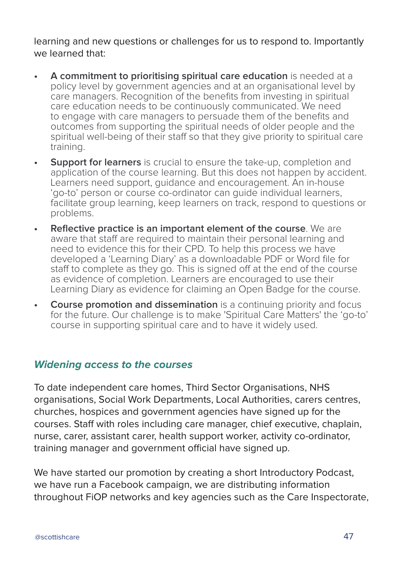learning and new questions or challenges for us to respond to. Importantly we learned that:

- **• A commitment to prioritising spiritual care education** is needed at a policy level by government agencies and at an organisational level by care managers. Recognition of the benefits from investing in spiritual care education needs to be continuously communicated. We need to engage with care managers to persuade them of the benefits and outcomes from supporting the spiritual needs of older people and the spiritual well-being of their staff so that they give priority to spiritual care training.
- **• Support for learners** is crucial to ensure the take-up, completion and application of the course learning. But this does not happen by accident. Learners need support, quidance and encouragement. An in-house 'go-to' person or course co-ordinator can guide individual learners, facilitate group learning, keep learners on track, respond to questions or problems.
- **• Reflective practice is an important element of the course**. We are aware that staff are required to maintain their personal learning and need to evidence this for their CPD. To help this process we have developed a 'Learning Diary' as a downloadable PDF or Word file for staff to complete as they go. This is signed off at the end of the course as evidence of completion. Learners are encouraged to use their Learning Diary as evidence for claiming an Open Badge for the course.
- **•• Course promotion and dissemination** is a continuing priority and focus for the future. Our challenge is to make 'Spiritual Care Matters' the 'go-to' course in supporting spiritual care and to have it widely used.

### **Widening access to the courses**

To date independent care homes, Third Sector Organisations, NHS organisations, Social Work Departments, Local Authorities, carers centres, churches, hospices and government agencies have signed up for the courses. Staff with roles including care manager, chief executive, chaplain, nurse, carer, assistant carer, health support worker, activity co-ordinator, training manager and government official have signed up.

We have started our promotion by creating a short Introductory Podcast, we have run a Facebook campaign, we are distributing information throughout FiOP networks and key agencies such as the Care Inspectorate,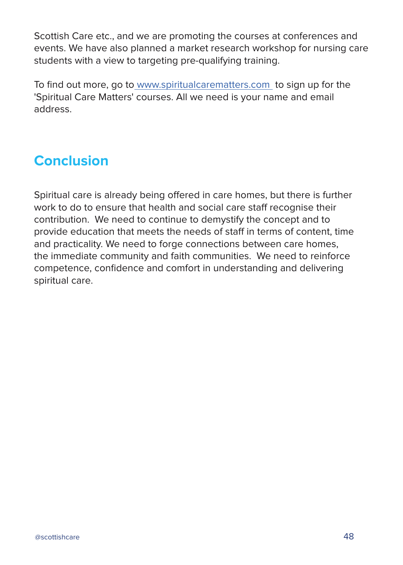Scottish Care etc., and we are promoting the courses at conferences and events. We have also planned a market research workshop for nursing care students with a view to targeting pre-qualifying training.

To find out more, go to www.spiritualcarematters.com to sign up for the 'Spiritual Care Matters' courses. All we need is your name and email address.

# **Conclusion**

Spiritual care is already being offered in care homes, but there is further work to do to ensure that health and social care staff recognise their contribution. We need to continue to demystify the concept and to provide education that meets the needs of staff in terms of content, time and practicality. We need to forge connections between care homes, the immediate community and faith communities. We need to reinforce competence, confidence and comfort in understanding and delivering spiritual care.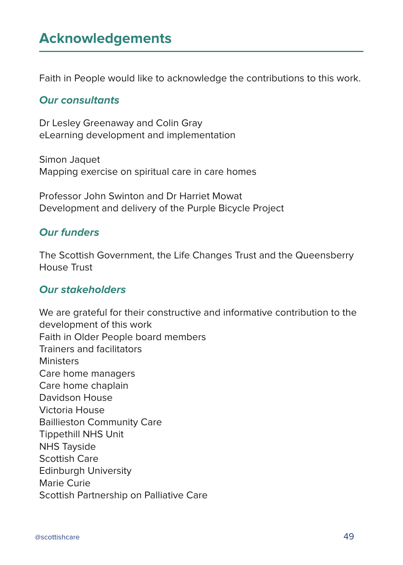# **Acknowledgements**

Faith in People would like to acknowledge the contributions to this work.

#### **Our consultants**

Dr Lesley Greenaway and Colin Gray eLearning development and implementation

Simon Jaquet Mapping exercise on spiritual care in care homes

Professor John Swinton and Dr Harriet Mowat Development and delivery of the Purple Bicycle Project

## **Our funders**

The Scottish Government, the Life Changes Trust and the Queensberry House Trust

#### **Our stakeholders**

We are grateful for their constructive and informative contribution to the development of this work Faith in Older People board members Trainers and facilitators **Ministers** Care home managers Care home chaplain Davidson House Victoria House Baillieston Community Care Tippethill NHS Unit NHS Tayside Scottish Care Edinburgh University Marie Curie Scottish Partnership on Palliative Care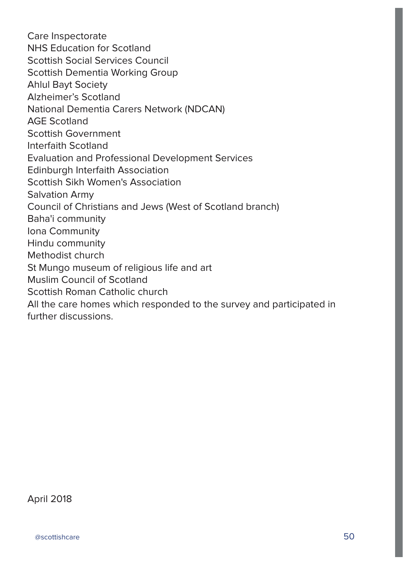Care Inspectorate NHS Education for Scotland Scottish Social Services Council Scottish Dementia Working Group Ahlul Bayt Society Alzheimer's Scotland National Dementia Carers Network (NDCAN) AGE Scotland Scottish Government Interfaith Scotland Evaluation and Professional Development Services Edinburgh Interfaith Association Scottish Sikh Women's Association Salvation Army Council of Christians and Jews (West of Scotland branch) Baha'i community Iona Community Hindu community Methodist church St Mungo museum of religious life and art Muslim Council of Scotland Scottish Roman Catholic church All the care homes which responded to the survey and participated in further discussions.

April 2018